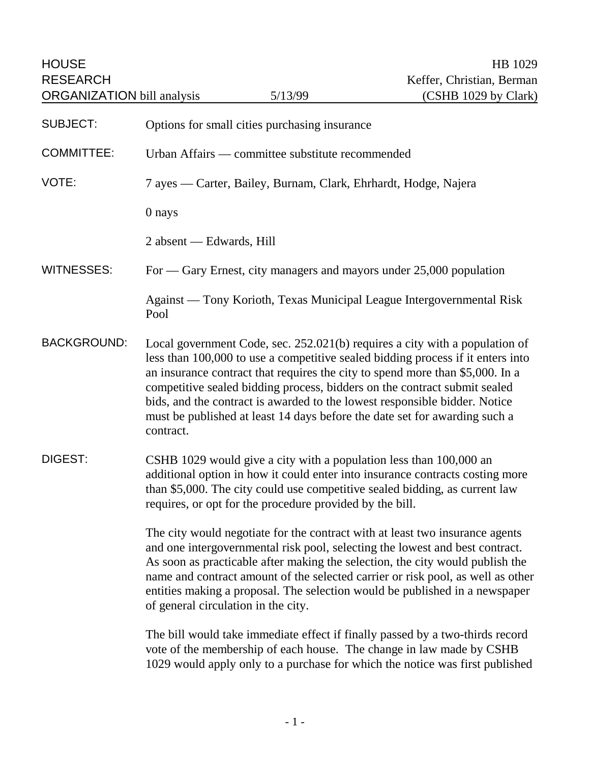| <b>HOUSE</b><br><b>RESEARCH</b><br><b>ORGANIZATION</b> bill analysis |                                                                                                                                                                                                                                                                                                                                                                                                                                                                                                       | 5/13/99                                       | HB 1029<br>Keffer, Christian, Berman<br>(CSHB 1029 by Clark)          |
|----------------------------------------------------------------------|-------------------------------------------------------------------------------------------------------------------------------------------------------------------------------------------------------------------------------------------------------------------------------------------------------------------------------------------------------------------------------------------------------------------------------------------------------------------------------------------------------|-----------------------------------------------|-----------------------------------------------------------------------|
| <b>SUBJECT:</b>                                                      |                                                                                                                                                                                                                                                                                                                                                                                                                                                                                                       | Options for small cities purchasing insurance |                                                                       |
| <b>COMMITTEE:</b>                                                    | Urban Affairs — committee substitute recommended                                                                                                                                                                                                                                                                                                                                                                                                                                                      |                                               |                                                                       |
| VOTE:                                                                | 7 ayes — Carter, Bailey, Burnam, Clark, Ehrhardt, Hodge, Najera                                                                                                                                                                                                                                                                                                                                                                                                                                       |                                               |                                                                       |
|                                                                      | 0 nays                                                                                                                                                                                                                                                                                                                                                                                                                                                                                                |                                               |                                                                       |
|                                                                      | 2 absent — Edwards, Hill                                                                                                                                                                                                                                                                                                                                                                                                                                                                              |                                               |                                                                       |
| <b>WITNESSES:</b>                                                    | For — Gary Ernest, city managers and mayors under 25,000 population                                                                                                                                                                                                                                                                                                                                                                                                                                   |                                               |                                                                       |
|                                                                      | Pool                                                                                                                                                                                                                                                                                                                                                                                                                                                                                                  |                                               | Against — Tony Korioth, Texas Municipal League Intergovernmental Risk |
| <b>BACKGROUND:</b>                                                   | Local government Code, sec. 252.021(b) requires a city with a population of<br>less than 100,000 to use a competitive sealed bidding process if it enters into<br>an insurance contract that requires the city to spend more than \$5,000. In a<br>competitive sealed bidding process, bidders on the contract submit sealed<br>bids, and the contract is awarded to the lowest responsible bidder. Notice<br>must be published at least 14 days before the date set for awarding such a<br>contract. |                                               |                                                                       |
| <b>DIGEST:</b>                                                       | CSHB 1029 would give a city with a population less than 100,000 an<br>additional option in how it could enter into insurance contracts costing more<br>than \$5,000. The city could use competitive sealed bidding, as current law<br>requires, or opt for the procedure provided by the bill.                                                                                                                                                                                                        |                                               |                                                                       |
|                                                                      | The city would negotiate for the contract with at least two insurance agents<br>and one intergovernmental risk pool, selecting the lowest and best contract.<br>As soon as practicable after making the selection, the city would publish the<br>name and contract amount of the selected carrier or risk pool, as well as other<br>entities making a proposal. The selection would be published in a newspaper<br>of general circulation in the city.                                                |                                               |                                                                       |
|                                                                      |                                                                                                                                                                                                                                                                                                                                                                                                                                                                                                       |                                               |                                                                       |

The bill would take immediate effect if finally passed by a two-thirds record vote of the membership of each house. The change in law made by CSHB 1029 would apply only to a purchase for which the notice was first published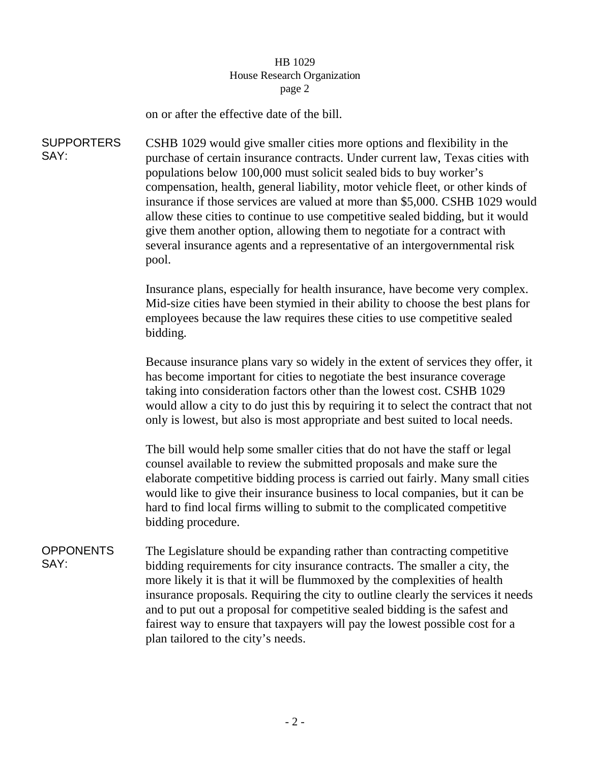## HB 1029 House Research Organization page 2

on or after the effective date of the bill.

SUPPORTERS SAY: CSHB 1029 would give smaller cities more options and flexibility in the purchase of certain insurance contracts. Under current law, Texas cities with populations below 100,000 must solicit sealed bids to buy worker's compensation, health, general liability, motor vehicle fleet, or other kinds of insurance if those services are valued at more than \$5,000. CSHB 1029 would allow these cities to continue to use competitive sealed bidding, but it would give them another option, allowing them to negotiate for a contract with several insurance agents and a representative of an intergovernmental risk pool.

> Insurance plans, especially for health insurance, have become very complex. Mid-size cities have been stymied in their ability to choose the best plans for employees because the law requires these cities to use competitive sealed bidding.

> Because insurance plans vary so widely in the extent of services they offer, it has become important for cities to negotiate the best insurance coverage taking into consideration factors other than the lowest cost. CSHB 1029 would allow a city to do just this by requiring it to select the contract that not only is lowest, but also is most appropriate and best suited to local needs.

The bill would help some smaller cities that do not have the staff or legal counsel available to review the submitted proposals and make sure the elaborate competitive bidding process is carried out fairly. Many small cities would like to give their insurance business to local companies, but it can be hard to find local firms willing to submit to the complicated competitive bidding procedure.

**OPPONENTS** SAY: The Legislature should be expanding rather than contracting competitive bidding requirements for city insurance contracts. The smaller a city, the more likely it is that it will be flummoxed by the complexities of health insurance proposals. Requiring the city to outline clearly the services it needs and to put out a proposal for competitive sealed bidding is the safest and fairest way to ensure that taxpayers will pay the lowest possible cost for a plan tailored to the city's needs.